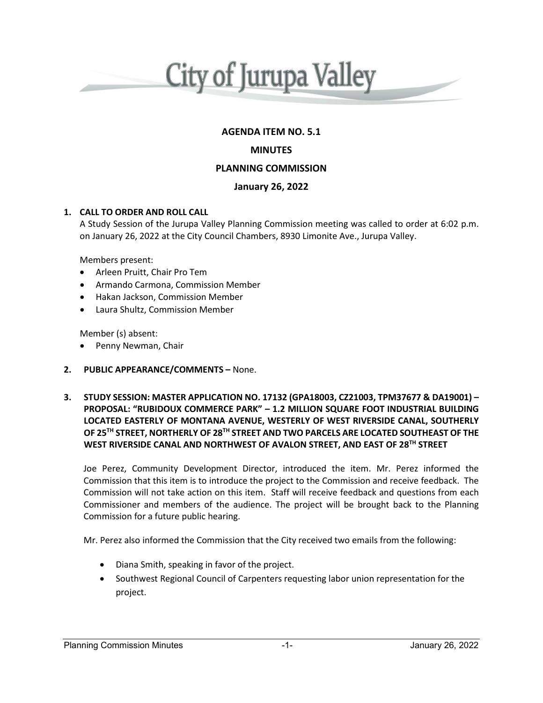

## **AGENDA ITEM NO. 5.1**

## **MINUTES**

## **PLANNING COMMISSION**

## **January 26, 2022**

#### **1. CALL TO ORDER AND ROLL CALL**

A Study Session of the Jurupa Valley Planning Commission meeting was called to order at 6:02 p.m. on January 26, 2022 at the City Council Chambers, 8930 Limonite Ave., Jurupa Valley.

Members present:

- Arleen Pruitt, Chair Pro Tem
- Armando Carmona, Commission Member
- Hakan Jackson, Commission Member
- Laura Shultz, Commission Member

Member (s) absent:

- Penny Newman, Chair
- **2. PUBLIC APPEARANCE/COMMENTS –** None.
- **3. STUDY SESSION: MASTER APPLICATION NO. 17132 (GPA18003, CZ21003, TPM37677 & DA19001) – PROPOSAL: "RUBIDOUX COMMERCE PARK" – 1.2 MILLION SQUARE FOOT INDUSTRIAL BUILDING LOCATED EASTERLY OF MONTANA AVENUE, WESTERLY OF WEST RIVERSIDE CANAL, SOUTHERLY OF 25TH STREET, NORTHERLY OF 28TH STREET AND TWO PARCELS ARE LOCATED SOUTHEAST OF THE WEST RIVERSIDE CANAL AND NORTHWEST OF AVALON STREET, AND EAST OF 28TH STREET**

Joe Perez, Community Development Director, introduced the item. Mr. Perez informed the Commission that this item is to introduce the project to the Commission and receive feedback. The Commission will not take action on this item. Staff will receive feedback and questions from each Commissioner and members of the audience. The project will be brought back to the Planning Commission for a future public hearing.

Mr. Perez also informed the Commission that the City received two emails from the following:

- Diana Smith, speaking in favor of the project.
- Southwest Regional Council of Carpenters requesting labor union representation for the project.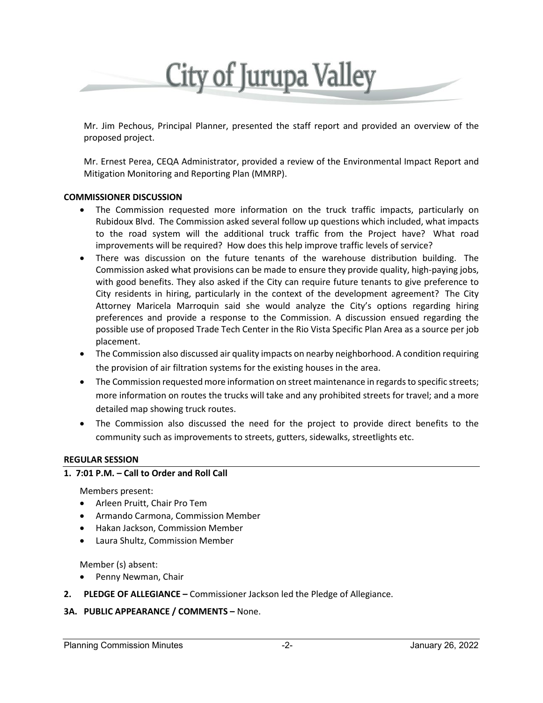

Mr. Jim Pechous, Principal Planner, presented the staff report and provided an overview of the proposed project.

Mr. Ernest Perea, CEQA Administrator, provided a review of the Environmental Impact Report and Mitigation Monitoring and Reporting Plan (MMRP).

#### **COMMISSIONER DISCUSSION**

- The Commission requested more information on the truck traffic impacts, particularly on Rubidoux Blvd. The Commission asked several follow up questions which included, what impacts to the road system will the additional truck traffic from the Project have? What road improvements will be required? How does this help improve traffic levels of service?
- There was discussion on the future tenants of the warehouse distribution building. The Commission asked what provisions can be made to ensure they provide quality, high-paying jobs, with good benefits. They also asked if the City can require future tenants to give preference to City residents in hiring, particularly in the context of the development agreement? The City Attorney Maricela Marroquin said she would analyze the City's options regarding hiring preferences and provide a response to the Commission. A discussion ensued regarding the possible use of proposed Trade Tech Center in the Rio Vista Specific Plan Area as a source per job placement.
- The Commission also discussed air quality impacts on nearby neighborhood. A condition requiring the provision of air filtration systems for the existing houses in the area.
- The Commission requested more information on street maintenance in regards to specific streets; more information on routes the trucks will take and any prohibited streets for travel; and a more detailed map showing truck routes.
- The Commission also discussed the need for the project to provide direct benefits to the community such as improvements to streets, gutters, sidewalks, streetlights etc.

#### **REGULAR SESSION**

### **1. 7:01 P.M. – Call to Order and Roll Call**

Members present:

- Arleen Pruitt, Chair Pro Tem
- Armando Carmona, Commission Member
- Hakan Jackson, Commission Member
- Laura Shultz, Commission Member

Member (s) absent:

- Penny Newman, Chair
- **2. PLEDGE OF ALLEGIANCE –** Commissioner Jackson led the Pledge of Allegiance.

# **3A. PUBLIC APPEARANCE / COMMENTS –** None.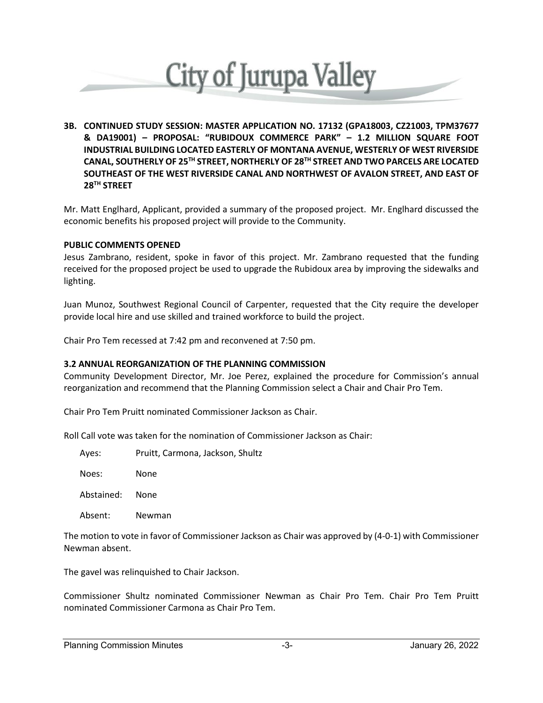

**3B. CONTINUED STUDY SESSION: MASTER APPLICATION NO. 17132 (GPA18003, CZ21003, TPM37677 & DA19001) – PROPOSAL: "RUBIDOUX COMMERCE PARK" – 1.2 MILLION SQUARE FOOT INDUSTRIAL BUILDING LOCATED EASTERLY OF MONTANA AVENUE, WESTERLY OF WEST RIVERSIDE CANAL, SOUTHERLY OF 25TH STREET, NORTHERLY OF 28TH STREET AND TWO PARCELS ARE LOCATED SOUTHEAST OF THE WEST RIVERSIDE CANAL AND NORTHWEST OF AVALON STREET, AND EAST OF 28TH STREET**

Mr. Matt Englhard, Applicant, provided a summary of the proposed project. Mr. Englhard discussed the economic benefits his proposed project will provide to the Community.

#### **PUBLIC COMMENTS OPENED**

Jesus Zambrano, resident, spoke in favor of this project. Mr. Zambrano requested that the funding received for the proposed project be used to upgrade the Rubidoux area by improving the sidewalks and lighting.

Juan Munoz, Southwest Regional Council of Carpenter, requested that the City require the developer provide local hire and use skilled and trained workforce to build the project.

Chair Pro Tem recessed at 7:42 pm and reconvened at 7:50 pm.

#### **3.2 ANNUAL REORGANIZATION OF THE PLANNING COMMISSION**

Community Development Director, Mr. Joe Perez, explained the procedure for Commission's annual reorganization and recommend that the Planning Commission select a Chair and Chair Pro Tem.

Chair Pro Tem Pruitt nominated Commissioner Jackson as Chair.

Roll Call vote was taken for the nomination of Commissioner Jackson as Chair:

| Ayes: | Pruitt, Carmona, Jackson, Shultz |
|-------|----------------------------------|
|-------|----------------------------------|

Noes: None

Abstained: None

Absent: Newman

The motion to vote in favor of Commissioner Jackson as Chair was approved by (4-0-1) with Commissioner Newman absent.

The gavel was relinquished to Chair Jackson.

Commissioner Shultz nominated Commissioner Newman as Chair Pro Tem. Chair Pro Tem Pruitt nominated Commissioner Carmona as Chair Pro Tem.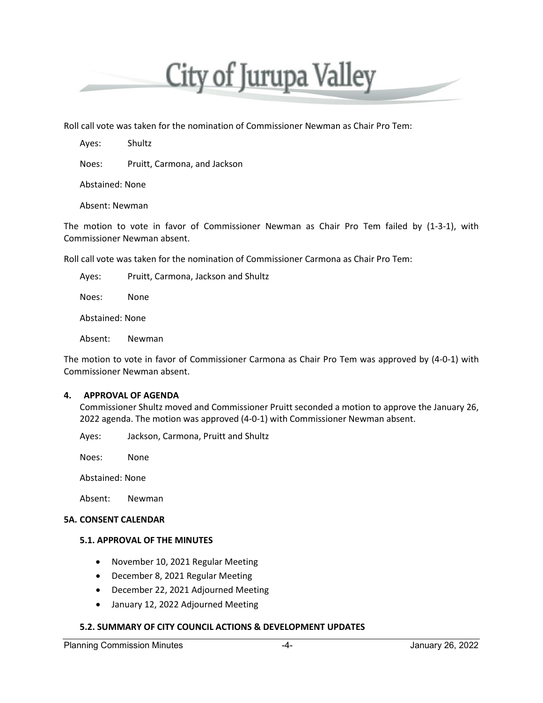

Roll call vote was taken for the nomination of Commissioner Newman as Chair Pro Tem:

Ayes: Shultz

Noes: Pruitt, Carmona, and Jackson

Abstained: None

Absent: Newman

The motion to vote in favor of Commissioner Newman as Chair Pro Tem failed by (1-3-1), with Commissioner Newman absent.

Roll call vote was taken for the nomination of Commissioner Carmona as Chair Pro Tem:

Ayes: Pruitt, Carmona, Jackson and Shultz

Noes: None

Abstained: None

Absent: Newman

The motion to vote in favor of Commissioner Carmona as Chair Pro Tem was approved by (4-0-1) with Commissioner Newman absent.

#### **4. APPROVAL OF AGENDA**

Commissioner Shultz moved and Commissioner Pruitt seconded a motion to approve the January 26, 2022 agenda. The motion was approved (4-0-1) with Commissioner Newman absent.

Ayes: Jackson, Carmona, Pruitt and Shultz

Noes: None

Abstained: None

Absent: Newman

#### **5A. CONSENT CALENDAR**

#### **5.1. APPROVAL OF THE MINUTES**

- November 10, 2021 Regular Meeting
- December 8, 2021 Regular Meeting
- December 22, 2021 Adjourned Meeting
- January 12, 2022 Adjourned Meeting

#### **5.2. SUMMARY OF CITY COUNCIL ACTIONS & DEVELOPMENT UPDATES**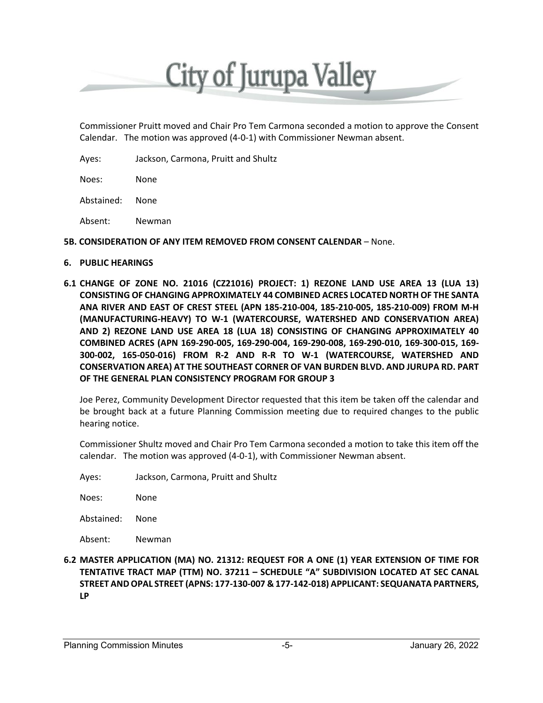

Commissioner Pruitt moved and Chair Pro Tem Carmona seconded a motion to approve the Consent Calendar. The motion was approved (4-0-1) with Commissioner Newman absent.

Ayes: Jackson, Carmona, Pruitt and Shultz

Noes: None

Abstained: None

Absent: Newman

#### **5B. CONSIDERATION OF ANY ITEM REMOVED FROM CONSENT CALENDAR** – None.

#### **6. PUBLIC HEARINGS**

**6.1 CHANGE OF ZONE NO. 21016 (CZ21016) PROJECT: 1) REZONE LAND USE AREA 13 (LUA 13) CONSISTING OF CHANGING APPROXIMATELY 44 COMBINED ACRES LOCATED NORTH OF THE SANTA ANA RIVER AND EAST OF CREST STEEL (APN 185-210-004, 185-210-005, 185-210-009) FROM M-H (MANUFACTURING-HEAVY) TO W-1 (WATERCOURSE, WATERSHED AND CONSERVATION AREA) AND 2) REZONE LAND USE AREA 18 (LUA 18) CONSISTING OF CHANGING APPROXIMATELY 40 COMBINED ACRES (APN 169-290-005, 169-290-004, 169-290-008, 169-290-010, 169-300-015, 169- 300-002, 165-050-016) FROM R-2 AND R-R TO W-1 (WATERCOURSE, WATERSHED AND CONSERVATION AREA) AT THE SOUTHEAST CORNER OF VAN BURDEN BLVD. AND JURUPA RD. PART OF THE GENERAL PLAN CONSISTENCY PROGRAM FOR GROUP 3**

Joe Perez, Community Development Director requested that this item be taken off the calendar and be brought back at a future Planning Commission meeting due to required changes to the public hearing notice.

Commissioner Shultz moved and Chair Pro Tem Carmona seconded a motion to take this item off the calendar. The motion was approved (4-0-1), with Commissioner Newman absent.

Ayes: Jackson, Carmona, Pruitt and Shultz

Noes: None

Abstained: None

Absent: Newman

**6.2 MASTER APPLICATION (MA) NO. 21312: REQUEST FOR A ONE (1) YEAR EXTENSION OF TIME FOR TENTATIVE TRACT MAP (TTM) NO. 37211 – SCHEDULE "A" SUBDIVISION LOCATED AT SEC CANAL STREET AND OPAL STREET (APNS: 177-130-007 & 177-142-018) APPLICANT: SEQUANATA PARTNERS, LP**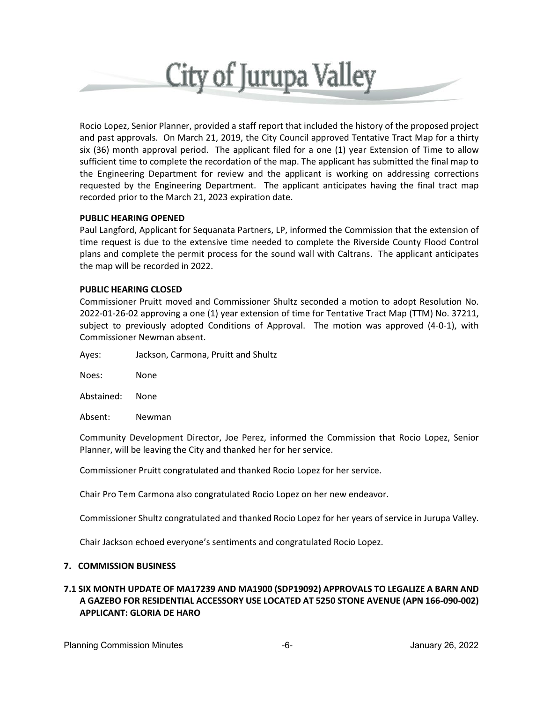

Rocio Lopez, Senior Planner, provided a staff report that included the history of the proposed project and past approvals. On March 21, 2019, the City Council approved Tentative Tract Map for a thirty six (36) month approval period. The applicant filed for a one (1) year Extension of Time to allow sufficient time to complete the recordation of the map. The applicant has submitted the final map to the Engineering Department for review and the applicant is working on addressing corrections requested by the Engineering Department. The applicant anticipates having the final tract map recorded prior to the March 21, 2023 expiration date.

# **PUBLIC HEARING OPENED**

Paul Langford, Applicant for Sequanata Partners, LP, informed the Commission that the extension of time request is due to the extensive time needed to complete the Riverside County Flood Control plans and complete the permit process for the sound wall with Caltrans. The applicant anticipates the map will be recorded in 2022.

#### **PUBLIC HEARING CLOSED**

Commissioner Pruitt moved and Commissioner Shultz seconded a motion to adopt Resolution No. 2022-01-26-02 approving a one (1) year extension of time for Tentative Tract Map (TTM) No. 37211, subject to previously adopted Conditions of Approval. The motion was approved (4-0-1), with Commissioner Newman absent.

Ayes: Jackson, Carmona, Pruitt and Shultz

Noes: None

Abstained: None

Absent: Newman

Community Development Director, Joe Perez, informed the Commission that Rocio Lopez, Senior Planner, will be leaving the City and thanked her for her service.

Commissioner Pruitt congratulated and thanked Rocio Lopez for her service.

Chair Pro Tem Carmona also congratulated Rocio Lopez on her new endeavor.

Commissioner Shultz congratulated and thanked Rocio Lopez for her years of service in Jurupa Valley.

Chair Jackson echoed everyone's sentiments and congratulated Rocio Lopez.

# **7. COMMISSION BUSINESS**

# **7.1 SIX MONTH UPDATE OF MA17239 AND MA1900 (SDP19092) APPROVALS TO LEGALIZE A BARN AND A GAZEBO FOR RESIDENTIAL ACCESSORY USE LOCATED AT 5250 STONE AVENUE (APN 166-090-002) APPLICANT: GLORIA DE HARO**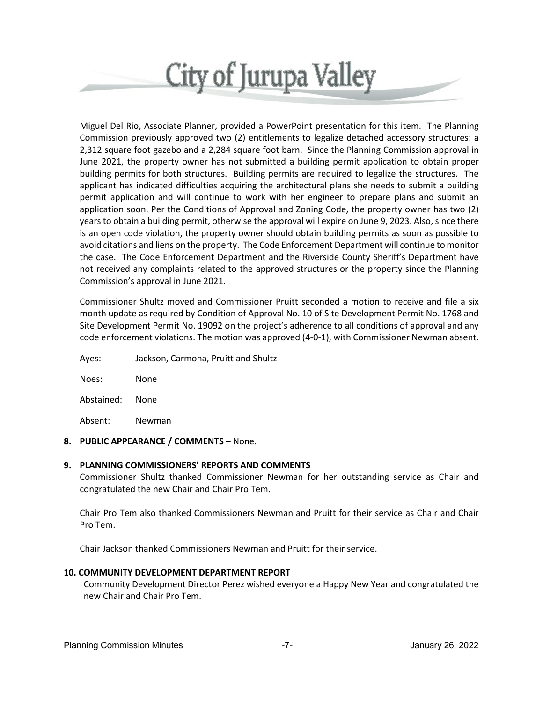

Miguel Del Rio, Associate Planner, provided a PowerPoint presentation for this item. The Planning Commission previously approved two (2) entitlements to legalize detached accessory structures: a 2,312 square foot gazebo and a 2,284 square foot barn. Since the Planning Commission approval in June 2021, the property owner has not submitted a building permit application to obtain proper building permits for both structures. Building permits are required to legalize the structures. The applicant has indicated difficulties acquiring the architectural plans she needs to submit a building permit application and will continue to work with her engineer to prepare plans and submit an application soon. Per the Conditions of Approval and Zoning Code, the property owner has two (2) years to obtain a building permit, otherwise the approval will expire on June 9, 2023. Also, since there is an open code violation, the property owner should obtain building permits as soon as possible to avoid citations and liens on the property. The Code Enforcement Department will continue to monitor the case. The Code Enforcement Department and the Riverside County Sheriff's Department have not received any complaints related to the approved structures or the property since the Planning Commission's approval in June 2021.

Commissioner Shultz moved and Commissioner Pruitt seconded a motion to receive and file a six month update as required by Condition of Approval No. 10 of Site Development Permit No. 1768 and Site Development Permit No. 19092 on the project's adherence to all conditions of approval and any code enforcement violations. The motion was approved (4-0-1), with Commissioner Newman absent.

Ayes: Jackson, Carmona, Pruitt and Shultz

Noes: None

Abstained: None

Absent: Newman

# **8. PUBLIC APPEARANCE / COMMENTS –** None.

# **9. PLANNING COMMISSIONERS' REPORTS AND COMMENTS**

Commissioner Shultz thanked Commissioner Newman for her outstanding service as Chair and congratulated the new Chair and Chair Pro Tem.

Chair Pro Tem also thanked Commissioners Newman and Pruitt for their service as Chair and Chair Pro Tem.

Chair Jackson thanked Commissioners Newman and Pruitt for their service.

# **10. COMMUNITY DEVELOPMENT DEPARTMENT REPORT**

Community Development Director Perez wished everyone a Happy New Year and congratulated the new Chair and Chair Pro Tem.